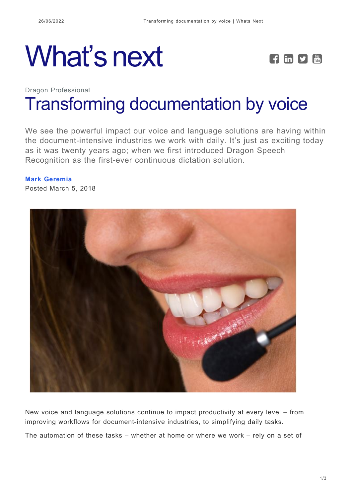# What's next **FEDE**



## Dragon Professional [Transforming documentation by voice](https://whatsnext.nuance.com/dragon-professional/transforming-documentation-voice/)

We see the powerful impact our voice and language solutions are having within the document-intensive industries we work with daily. It's just as exciting today as it was twenty years ago; when we first introduced Dragon Speech Recognition as the first-ever continuous dictation solution.

## **[Mark Geremia](https://whatsnext.nuance.com/author/mark-geremia/)**

Posted March 5, 2018



New voice and language solutions continue to impact productivity at every level – from improving workflows for document-intensive industries, to simplifying daily tasks.

The automation of these tasks – whether at home or where we work – rely on a set of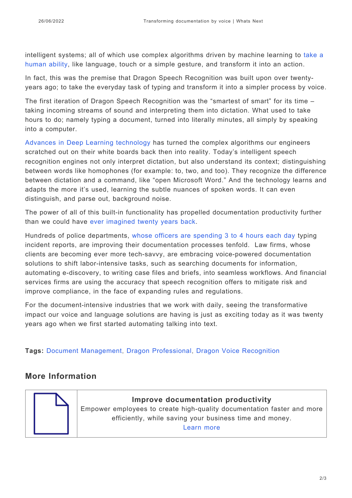intelligent systems; all of which use complex algorithms driven by machine learning to [take a](https://whatsnext.nuance.com/connected-living/speech-gesture-handwriting-multimodal-interaction-with-smart-automotive-assistant/) [human ability,](https://whatsnext.nuance.com/connected-living/speech-gesture-handwriting-multimodal-interaction-with-smart-automotive-assistant/) like language, touch or a simple gesture, and transform it into an action.

In fact, this was the premise that Dragon Speech Recognition was built upon over twentyyears ago; to take the everyday task of typing and transform it into a simpler process by voice.

The first iteration of Dragon Speech Recognition was the "smartest of smart" for its time – taking incoming streams of sound and interpreting them into dictation. What used to take hours to do; namely typing a document, turned into literally minutes, all simply by speaking into a computer.

[Advances in Deep Learning technology](https://whatsnext.nuance.com/in-the-labs/dragon-deep-learning-speech-recognition/) has turned the complex algorithms our engineers scratched out on their white boards back then into reality. Today's intelligent speech recognition engines not only interpret dictation, but also understand its context; distinguishing between words like homophones (for example: to, two, and too). They recognize the difference between dictation and a command, like "open Microsoft Word." And the technology learns and adapts the more it's used, learning the subtle nuances of spoken words. It can even distinguish, and parse out, background noise.

The power of all of this built-in functionality has propelled documentation productivity further than we could have [ever imagined twenty years back.](https://whatsnext.nuance.com/office-productivity/celebrating-20-years-of-dragon-speech-recognition/)

Hundreds of police departments, [whose officers are spending 3 to 4 hours each day](https://www.nuance.com/dragon/campaign/dragon-law-enforcement-survey-infographic.html?cvosrc=dragondisplay.APB.dragonAd&utm_medium=dragondisplay&utm_source=APB&utm_campaign=DLEsurvey) typing incident reports, are improving their documentation processes tenfold. Law firms, whose clients are becoming ever more tech-savvy, are embracing voice-powered documentation solutions to shift labor-intensive tasks, such as searching documents for information, automating e-discovery, to writing case files and briefs, into seamless workflows. And financial services firms are using the accuracy that speech recognition offers to mitigate risk and improve compliance, in the face of expanding rules and regulations.

For the document-intensive industries that we work with daily, seeing the transformative impact our voice and language solutions are having is just as exciting today as it was twenty years ago when we first started automating talking into text.

**Tags:** [Document Management](https://whatsnext.nuance.com/tag/document-management/), [Dragon Professional](https://whatsnext.nuance.com/tag/dragon-professional/), [Dragon Voice Recognition](https://whatsnext.nuance.com/tag/dragon-voice-recognition/)

### **More Information**



**Improve documentation productivity** Empower employees to create high-quality documentation faster and more efficiently, while saving your business time and money. [Learn more](https://www.nuance.com/dragon/business-solutions/dragon-professional-group.html?utm_source=whatsnext&utm_medium=blog)